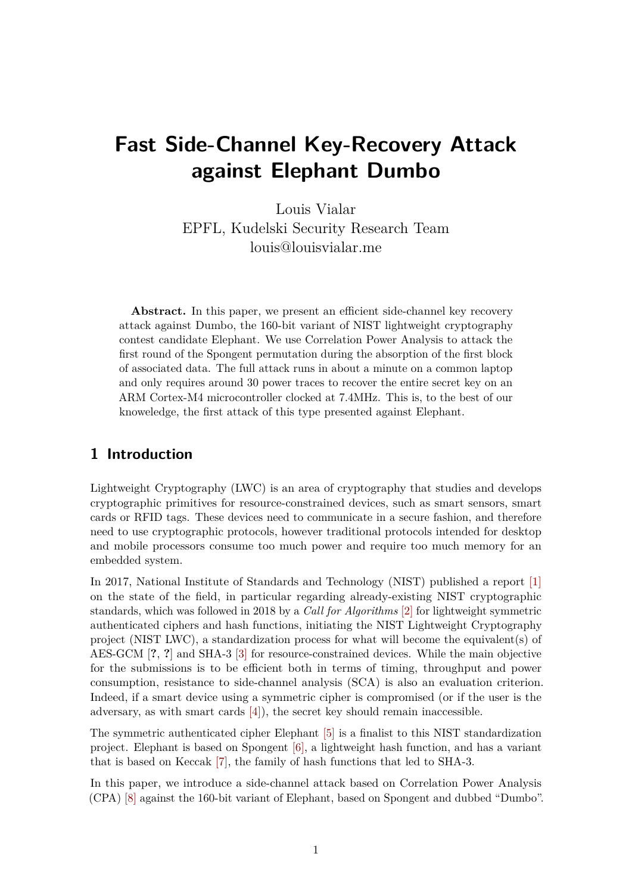# **Fast Side-Channel Key-Recovery Attack against Elephant Dumbo**

Louis Vialar EPFL, Kudelski Security Research Team louis@louisvialar.me

Abstract. In this paper, we present an efficient side-channel key recovery attack against Dumbo, the 160-bit variant of NIST lightweight cryptography contest candidate Elephant. We use Correlation Power Analysis to attack the first round of the Spongent permutation during the absorption of the first block of associated data. The full attack runs in about a minute on a common laptop and only requires around 30 power traces to recover the entire secret key on an ARM Cortex-M4 microcontroller clocked at 7.4MHz. This is, to the best of our knoweledge, the first attack of this type presented against Elephant.

# **1 Introduction**

Lightweight Cryptography (LWC) is an area of cryptography that studies and develops cryptographic primitives for resource-constrained devices, such as smart sensors, smart cards or RFID tags. These devices need to communicate in a secure fashion, and therefore need to use cryptographic protocols, however traditional protocols intended for desktop and mobile processors consume too much power and require too much memory for an embedded system.

In 2017, National Institute of Standards and Technology (NIST) published a report [\[1\]](#page-10-0) on the state of the field, in particular regarding already-existing NIST cryptographic standards, which was followed in 2018 by a *Call for Algorithms* [\[2\]](#page-10-1) for lightweight symmetric authenticated ciphers and hash functions, initiating the NIST Lightweight Cryptography project (NIST LWC), a standardization process for what will become the equivalent(s) of AES-GCM [**?**, **?**] and SHA-3 [\[3\]](#page-11-0) for resource-constrained devices. While the main objective for the submissions is to be efficient both in terms of timing, throughput and power consumption, resistance to side-channel analysis (SCA) is also an evaluation criterion. Indeed, if a smart device using a symmetric cipher is compromised (or if the user is the adversary, as with smart cards [\[4\]\)](#page-11-1), the secret key should remain inaccessible.

The symmetric authenticated cipher Elephant [\[5\]](#page-11-2) is a finalist to this NIST standardization project. Elephant is based on Spongent [\[6\],](#page-11-3) a lightweight hash function, and has a variant that is based on Keccak [\[7\],](#page-11-4) the family of hash functions that led to SHA-3.

In this paper, we introduce a side-channel attack based on Correlation Power Analysis (CPA) [\[8\]](#page-11-5) against the 160-bit variant of Elephant, based on Spongent and dubbed "Dumbo".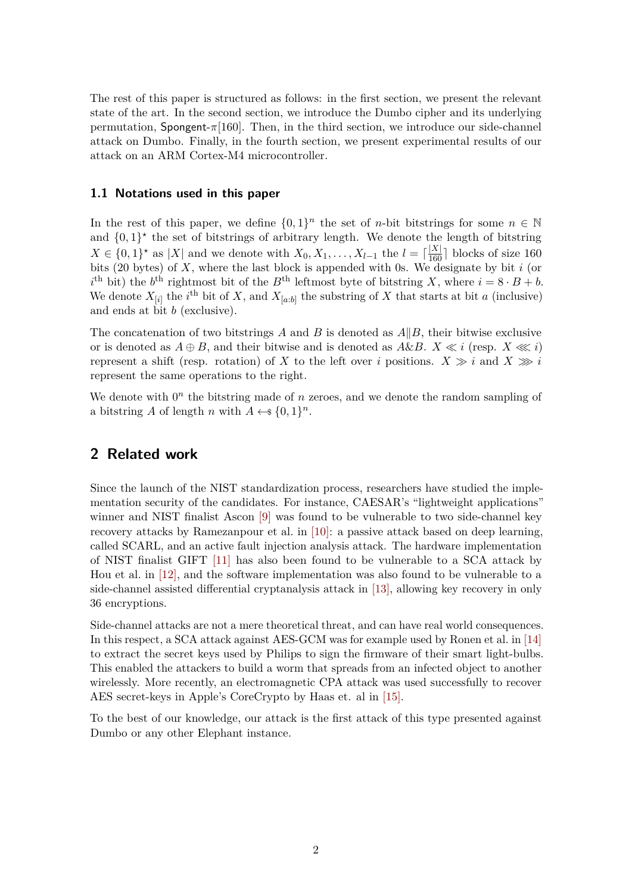The rest of this paper is structured as follows: in the first section, we present the relevant state of the art. In the second section, we introduce the Dumbo cipher and its underlying permutation, Spongent-*π*[160]. Then, in the third section, we introduce our side-channel attack on Dumbo. Finally, in the fourth section, we present experimental results of our attack on an ARM Cortex-M4 microcontroller.

### **1.1 Notations used in this paper**

In the rest of this paper, we define  $\{0,1\}^n$  the set of *n*-bit bitstrings for some  $n \in \mathbb{N}$ and  $\{0,1\}^*$  the set of bitstrings of arbitrary length. We denote the length of bitstring *X* ∈ {0, 1}<sup>★</sup> as |*X*| and we denote with *X*<sub>0</sub>, *X*<sub>1</sub>, . . . , *X*<sub>*l*</sub>−1 the *l* =  $\lceil \frac{|X|}{160} \rceil$  blocks of size 160 bits (20 bytes) of *X*, where the last block is appended with 0s. We designate by bit *i* (or  $i^{\text{th}}$  bit) the  $b^{\text{th}}$  rightmost bit of the  $B^{\text{th}}$  leftmost byte of bitstring *X*, where  $i = 8 \cdot B + b$ . We denote  $X_{[i]}$  the *i*<sup>th</sup> bit of X, and  $X_{[a:b]}$  the substring of X that starts at bit *a* (inclusive) and ends at bit *b* (exclusive).

The concatenation of two bitstrings *A* and *B* is denoted as *A*∥*B*, their bitwise exclusive or is denoted as  $A \oplus B$ , and their bitwise and is denoted as  $A \& B$ .  $X \ll i$  (resp.  $X \ll i$ ) represent a shift (resp. rotation) of *X* to the left over *i* positions.  $X \gg i$  and  $X \gg i$ represent the same operations to the right.

We denote with  $0<sup>n</sup>$  the bitstring made of  $n$  zeroes, and we denote the random sampling of a bitstring *A* of length *n* with  $A \leftarrow \{0, 1\}^n$ .

### **2 Related work**

Since the launch of the NIST standardization process, researchers have studied the implementation security of the candidates. For instance, CAESAR's "lightweight applications" winner and NIST finalist Ascon [\[9\]](#page-11-6) was found to be vulnerable to two side-channel key recovery attacks by Ramezanpour et al. in [\[10\]:](#page-11-7) a passive attack based on deep learning, called SCARL, and an active fault injection analysis attack. The hardware implementation of NIST finalist GIFT [\[11\]](#page-11-8) has also been found to be vulnerable to a SCA attack by Hou et al. in [\[12\],](#page-11-9) and the software implementation was also found to be vulnerable to a side-channel assisted differential cryptanalysis attack in [\[13\],](#page-11-10) allowing key recovery in only 36 encryptions.

Side-channel attacks are not a mere theoretical threat, and can have real world consequences. In this respect, a SCA attack against AES-GCM was for example used by Ronen et al. in [\[14\]](#page-11-11) to extract the secret keys used by Philips to sign the firmware of their smart light-bulbs. This enabled the attackers to build a worm that spreads from an infected object to another wirelessly. More recently, an electromagnetic CPA attack was used successfully to recover AES secret-keys in Apple's CoreCrypto by Haas et. al in [\[15\].](#page-12-0)

To the best of our knowledge, our attack is the first attack of this type presented against Dumbo or any other Elephant instance.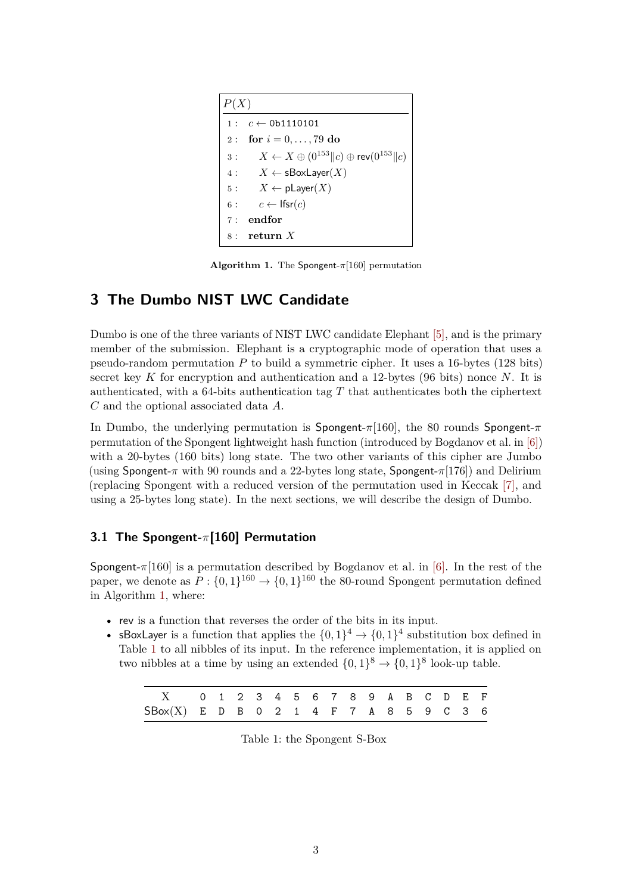<span id="page-2-0"></span>*P*(*X*)  $1: c \leftarrow 0$ b1110101 2 : **for** *i* = 0*, . . . ,* 79 **do** 3 :  $X \leftarrow X \oplus (0^{153} || c) \oplus \text{rev}(0^{153} || c)$  $4: X \leftarrow sBoxLayer(X)$ 5 :  $X \leftarrow \text{pLayer}(X)$ 6 :  $c \leftarrow \text{lfsr}(c)$ 7 : **endfor** 8 : **return** *X*

**Algorithm 1.** The Spongent-*π*[160] permutation

# **3 The Dumbo NIST LWC Candidate**

Dumbo is one of the three variants of NIST LWC candidate Elephant [\[5\],](#page-11-2) and is the primary member of the submission. Elephant is a cryptographic mode of operation that uses a pseudo-random permutation *P* to build a symmetric cipher. It uses a 16-bytes (128 bits) secret key *K* for encryption and authentication and a 12-bytes (96 bits) nonce *N*. It is authenticated, with a 64-bits authentication tag *T* that authenticates both the ciphertext *C* and the optional associated data *A*.

In Dumbo, the underlying permutation is Spongent-*π*[160], the 80 rounds Spongent-*π* permutation of the Spongent lightweight hash function (introduced by Bogdanov et al. in [\[6\]\)](#page-11-3) with a 20-bytes (160 bits) long state. The two other variants of this cipher are Jumbo (using Spongent-*π* with 90 rounds and a 22-bytes long state, Spongent-*π*[176]) and Delirium (replacing Spongent with a reduced version of the permutation used in Keccak [\[7\],](#page-11-4) and using a 25-bytes long state). In the next sections, we will describe the design of Dumbo.

### **3.1 The Spongent-***π***[160] Permutation**

Spongent- $\pi$ [160] is a permutation described by Bogdanov et al. in [\[6\].](#page-11-3) In the rest of the paper, we denote as  $P: \{0,1\}^{160} \to \{0,1\}^{160}$  the 80-round Spongent permutation defined in Algorithm [1,](#page-2-0) where:

- rev is a function that reverses the order of the bits in its input.
- <span id="page-2-1"></span>• sBoxLayer is a function that applies the  $\{0,1\}^4 \rightarrow \{0,1\}^4$  substitution box defined in Table [1](#page-2-1) to all nibbles of its input. In the reference implementation, it is applied on two nibbles at a time by using an extended  $\{0,1\}^8 \to \{0,1\}^8$  look-up table.

| X 0 1 2 3 4 5 6 7 8 9 A B C D E F         |  |  |  |  |  |  |  |  |
|-------------------------------------------|--|--|--|--|--|--|--|--|
| $SBox(X)$ E D B O 2 1 4 F 7 A 8 5 9 C 3 6 |  |  |  |  |  |  |  |  |

Table 1: the Spongent S-Box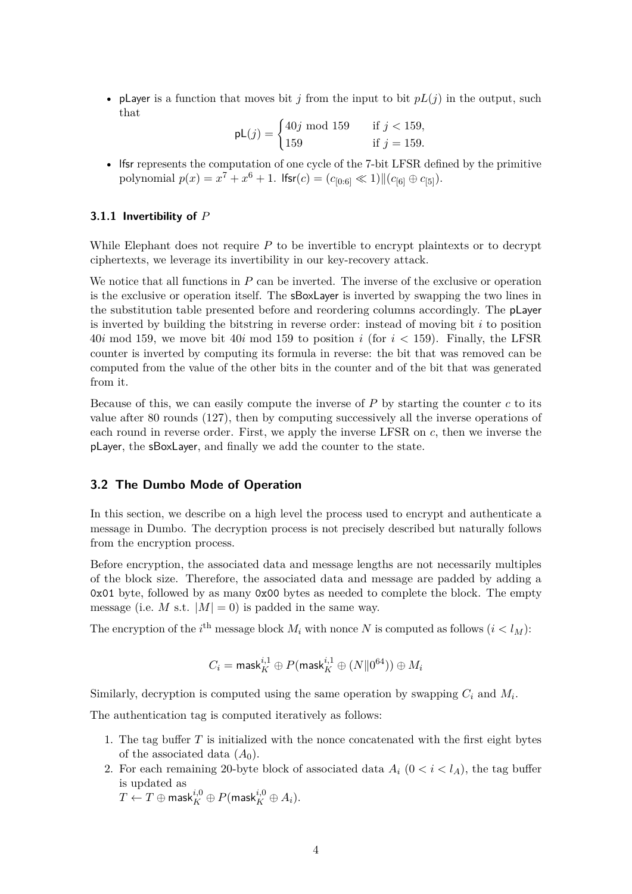• player is a function that moves bit *j* from the input to bit  $pL(j)$  in the output, such that

$$
pL(j) = \begin{cases} 40j \text{ mod } 159 & \text{if } j < 159, \\ 159 & \text{if } j = 159. \end{cases}
$$

• lfsr represents the computation of one cycle of the 7-bit LFSR defined by the primitive  $\text{polynomial } p(x) = x^7 + x^6 + 1. \text{ If } \text{sr}(c) = (c_{[0:6]} \ll 1) || (c_{[6]} \oplus c_{[5]}).$ 

### **3.1.1 Invertibility of** *P*

While Elephant does not require *P* to be invertible to encrypt plaintexts or to decrypt ciphertexts, we leverage its invertibility in our key-recovery attack.

We notice that all functions in *P* can be inverted. The inverse of the exclusive or operation is the exclusive or operation itself. The sBoxLayer is inverted by swapping the two lines in the substitution table presented before and reordering columns accordingly. The pLayer is inverted by building the bitstring in reverse order: instead of moving bit *i* to position 40*i* mod 159, we move bit 40*i* mod 159 to position *i* (for *i <* 159). Finally, the LFSR counter is inverted by computing its formula in reverse: the bit that was removed can be computed from the value of the other bits in the counter and of the bit that was generated from it.

Because of this, we can easily compute the inverse of *P* by starting the counter *c* to its value after 80 rounds (127), then by computing successively all the inverse operations of each round in reverse order. First, we apply the inverse LFSR on *c*, then we inverse the pLayer, the sBoxLayer, and finally we add the counter to the state.

### **3.2 The Dumbo Mode of Operation**

In this section, we describe on a high level the process used to encrypt and authenticate a message in Dumbo. The decryption process is not precisely described but naturally follows from the encryption process.

Before encryption, the associated data and message lengths are not necessarily multiples of the block size. Therefore, the associated data and message are padded by adding a 0x01 byte, followed by as many 0x00 bytes as needed to complete the block. The empty message (i.e. M s.t.  $|M| = 0$ ) is padded in the same way.

The encryption of the  $i^{\text{th}}$  message block  $M_i$  with nonce  $N$  is computed as follows  $(i < l_M)$ :

$$
C_i = \mathsf{mask}^{i,1}_K \oplus P(\mathsf{mask}^{i,1}_K \oplus (N \| 0^{64})) \oplus M_i
$$

Similarly, decryption is computed using the same operation by swapping  $C_i$  and  $M_i$ .

The authentication tag is computed iteratively as follows:

- 1. The tag buffer *T* is initialized with the nonce concatenated with the first eight bytes of the associated data  $(A_0)$ .
- 2. For each remaining 20-byte block of associated data  $A_i$  ( $0 < i < l<sub>A</sub>$ ), the tag buffer is updated as

 $T \leftarrow T \oplus \mathsf{mask}^{i,0}_K \oplus P(\mathsf{mask}^{i,0}_K \oplus A_i).$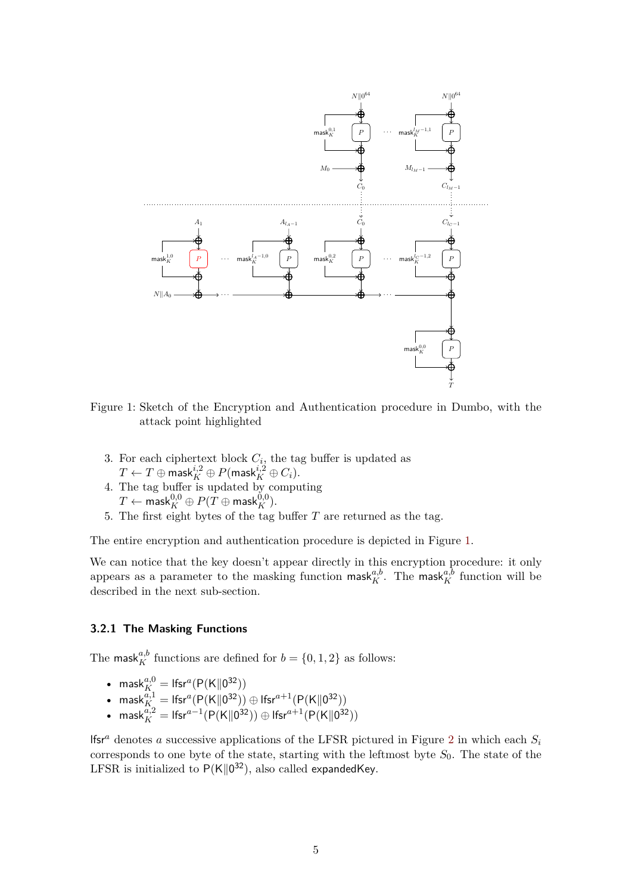<span id="page-4-0"></span>

Figure 1: Sketch of the Encryption and Authentication procedure in Dumbo, with the attack point highlighted

- 3. For each ciphertext block  $C_i$ , the tag buffer is updated as  $T \leftarrow T \oplus \mathsf{mask}^{i,2}_K \oplus P(\mathsf{mask}^{i,2}_K \oplus C_i).$
- 4. The tag buffer is updated by computing  $T \leftarrow \mathsf{mask}^{0,0}_K \oplus P(T \oplus \mathsf{mask}^{0,0}_K).$
- 5. The first eight bytes of the tag buffer *T* are returned as the tag.

The entire encryption and authentication procedure is depicted in Figure [1.](#page-4-0)

We can notice that the key doesn't appear directly in this encryption procedure: it only appears as a parameter to the masking function mask<sub>K</sub><sup>*a*,b</sup>. The mask<sub>K</sub><sup>*a*,b</sup> function will be described in the next sub-section.

### <span id="page-4-1"></span>**3.2.1 The Masking Functions**

The mask<sup>*a*,*b*</sup> functions are defined for  $b = \{0, 1, 2\}$  as follows:

- mask ${}_{K_{\perp}}^{a,0} =$  Ifsr<sup>a</sup> $(P(K||0^{32}))$
- mask $K_K^{a,1} = \text{lfsr}^a(P(K||0^{32})) \oplus \text{lfsr}^{a+1}(P(K||0^{32}))$
- mask $\kappa_K^{\bar{a},2} = \text{lfsr}^{a-1}(P(K \parallel 0^{32})) \oplus \text{lfsr}^{a+1}(P(K \parallel 0^{32}))$

lfsr<sup>a</sup> denotes a successive applications of the LFSR pictured in Figure [2](#page-5-0) in which each  $S_i$ corresponds to one byte of the state, starting with the leftmost byte *S*0. The state of the LFSR is initialized to  $P(K||0^{32})$ , also called expandedKey.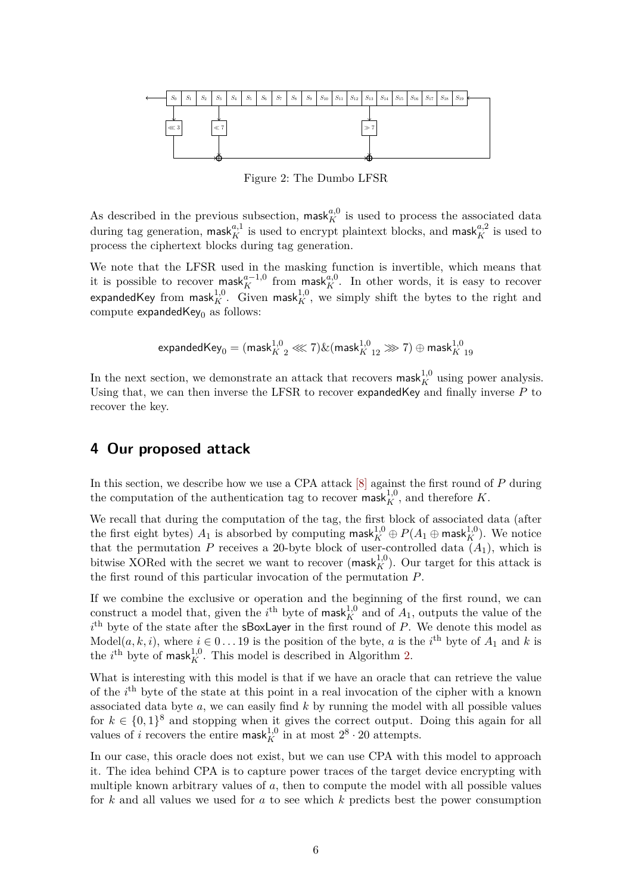<span id="page-5-0"></span>

Figure 2: The Dumbo LFSR

As described in the previous subsection, mask<sub>K</sub><sup>a,0</sup> is used to process the associated data during tag generation,  $\textsf{mask}_{K}^{a,1}$  is used to encrypt plaintext blocks, and  $\textsf{mask}_{K}^{a,2}$  is used to process the ciphertext blocks during tag generation.

We note that the LFSR used in the masking function is invertible, which means that it is possible to recover mask ${}^{a-1,0}_K$  from mask ${}^{a,0}_K$ . In other words, it is easy to recover expandedKey from mask $^{1,0}_K$ . Given mask $^{1,0}_K$ , we simply shift the bytes to the right and compute  $expandedKey<sub>0</sub>$  as follows:

$$
\text{expandedKey}_0 = (\text{mask}_{K=2}^{1,0} \lll \times 7) \& (\text{mask}_{K=12}^{1,0} \ggg 7) \oplus \text{mask}_{K=19}^{1,0}
$$

In the next section, we demonstrate an attack that recovers  $\text{mask}_{K}^{1,0}$  using power analysis. Using that, we can then inverse the LFSR to recover expandedKey and finally inverse *P* to recover the key.

# **4 Our proposed attack**

In this section, we describe how we use a CPA attack [\[8\]](#page-11-5) against the first round of *P* during the computation of the authentication tag to recover mask $^{1,0}_K$ , and therefore *K*.

We recall that during the computation of the tag, the first block of associated data (after the first eight bytes)  $A_1$  is absorbed by computing  $\mathsf{mask}_{K}^{1,0} \oplus P(A_1 \oplus \mathsf{mask}_{K}^{1,0})$ . We notice that the permutation  $P$  receives a 20-byte block of user-controlled data  $(A_1)$ , which is bitwise XORed with the secret we want to recover (mask ${}^{1,0}_K$ ). Our target for this attack is the first round of this particular invocation of the permutation *P*.

If we combine the exclusive or operation and the beginning of the first round, we can construct a model that, given the *i*<sup>th</sup> byte of mask<sup>1,0</sup> and of  $A_1$ , outputs the value of the *i* th byte of the state after the sBoxLayer in the first round of *P*. We denote this model as Model $(a, k, i)$ , where  $i \in 0...19$  is the position of the byte, *a* is the *i*<sup>th</sup> byte of  $A_1$  and *k* is the *i*<sup>th</sup> byte of mask<sup>1,0</sup>. This model is described in Algorithm [2.](#page-6-0)

What is interesting with this model is that if we have an oracle that can retrieve the value of the *i*<sup>th</sup> byte of the state at this point in a real invocation of the cipher with a known associated data byte *a*, we can easily find *k* by running the model with all possible values for  $k \in \{0,1\}^8$  and stopping when it gives the correct output. Doing this again for all values of *i* recovers the entire mask $^{1,0}_K$  in at most  $2^8 \cdot 20$  attempts.

In our case, this oracle does not exist, but we can use CPA with this model to approach it. The idea behind CPA is to capture power traces of the target device encrypting with multiple known arbitrary values of *a*, then to compute the model with all possible values for *k* and all values we used for *a* to see which *k* predicts best the power consumption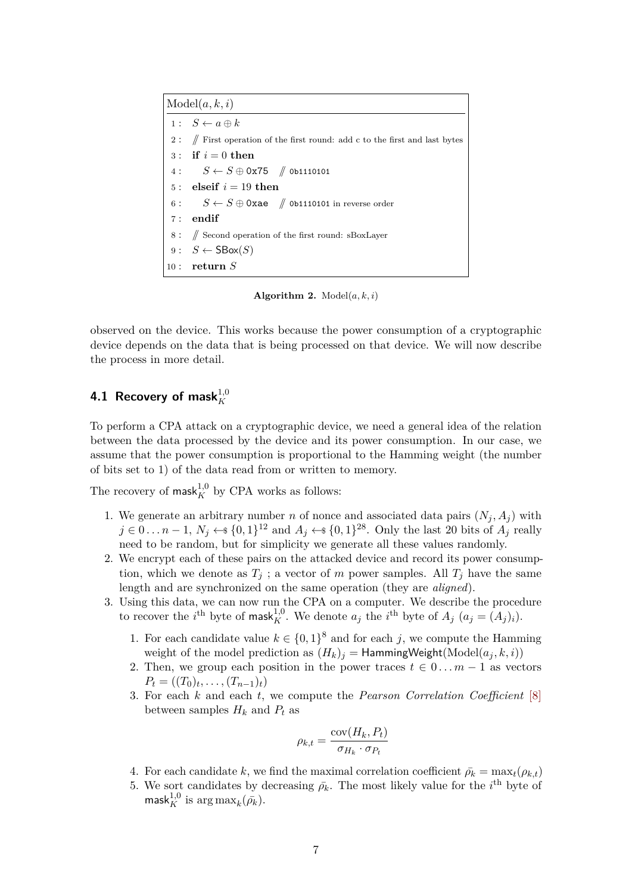<span id="page-6-0"></span>Model(*a, k, i*)  $1: S \leftarrow a \oplus k$ 2 : // First operation of the first round: add c to the first and last bytes  $3:$  **if**  $i = 0$  **then**  $4: S \leftarrow S \oplus 0x75 \quad \text{{\#}}$  0b1110101 5 : **elseif**  $i = 19$  **then** 6 :  $S \leftarrow S \oplus 0$ xae // 0b1110101 in reverse order 7 : **endif**  $\#$  Second operation of the first round: sBoxLayer  $9: S \leftarrow \text{SBox}(S)$ 10 : **return** *S*

**Algorithm 2.** Model(*a, k, i*)

observed on the device. This works because the power consumption of a cryptographic device depends on the data that is being processed on that device. We will now describe the process in more detail.

# **4.1 Recovery of mask** $^{1,0}_K$

To perform a CPA attack on a cryptographic device, we need a general idea of the relation between the data processed by the device and its power consumption. In our case, we assume that the power consumption is proportional to the Hamming weight (the number of bits set to 1) of the data read from or written to memory.

The recovery of  $\mathsf{mask}_{K}^{1,0}$  by CPA works as follows:

- 1. We generate an arbitrary number *n* of nonce and associated data pairs  $(N_j, A_j)$  with  $j \in 0 \ldots n-1$ ,  $N_j \leftarrow \{0,1\}^{12}$  and  $A_j \leftarrow \{0,1\}^{28}$ . Only the last 20 bits of  $A_j$  really need to be random, but for simplicity we generate all these values randomly.
- 2. We encrypt each of these pairs on the attacked device and record its power consumption, which we denote as  $T_j$ ; a vector of *m* power samples. All  $T_j$  have the same length and are synchronized on the same operation (they are *aligned*).
- 3. Using this data, we can now run the CPA on a computer. We describe the procedure to recover the *i*<sup>th</sup> byte of mask<sup>1,0</sup>. We denote  $a_j$  the *i*<sup>th</sup> byte of  $A_j$   $(a_j = (A_j)_i)$ .
	- 1. For each candidate value  $k \in \{0,1\}^8$  and for each *j*, we compute the Hamming weight of the model prediction as  $(H_k)_j =$  HammingWeight(Model( $a_j, k, i$ ))
	- 2. Then, we group each position in the power traces  $t \in 0...m-1$  as vectors  $P_t = ((T_0)_t, \ldots, (T_{n-1})_t)$
	- 3. For each *k* and each *t*, we compute the *Pearson Correlation Coefficient* [\[8\]](#page-11-5) between samples  $H_k$  and  $P_t$  as

$$
\rho_{k,t} = \frac{\text{cov}(H_k, P_t)}{\sigma_{H_k} \cdot \sigma_{P_t}}
$$

- 4. For each candidate *k*, we find the maximal correlation coefficient  $\bar{\rho_k} = \max_t(\rho_{k,t})$
- 5. We sort candidates by decreasing  $\bar{\rho_k}$ . The most likely value for the *i*<sup>th</sup> byte of  $\mathsf{mask}_{K}^{1,0}$  is  $\argmax_{k}(\bar{\rho_k}).$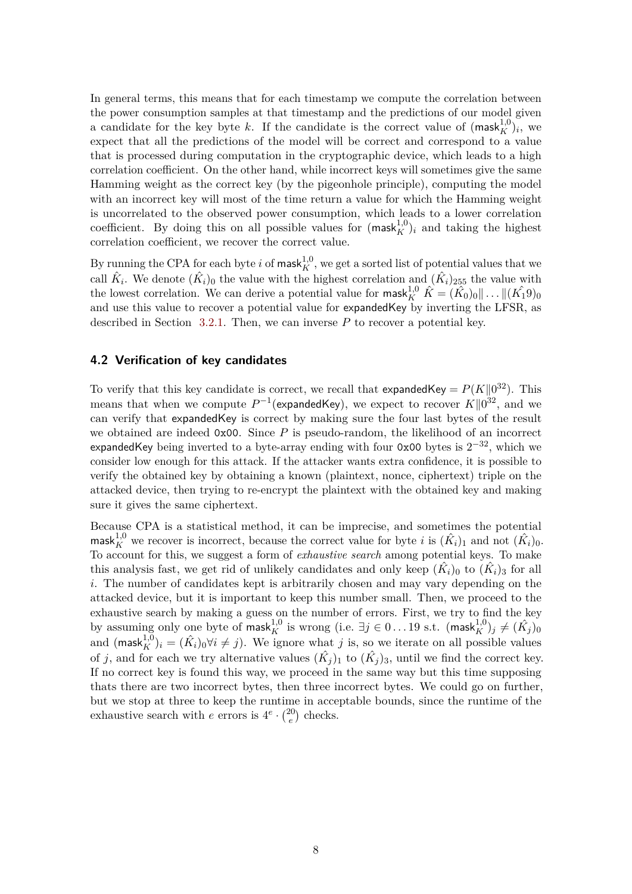In general terms, this means that for each timestamp we compute the correlation between the power consumption samples at that timestamp and the predictions of our model given a candidate for the key byte *k*. If the candidate is the correct value of  $(mask<sub>K</sub><sup>1,0</sup>)<sub>i</sub>$ , we expect that all the predictions of the model will be correct and correspond to a value that is processed during computation in the cryptographic device, which leads to a high correlation coefficient. On the other hand, while incorrect keys will sometimes give the same Hamming weight as the correct key (by the pigeonhole principle), computing the model with an incorrect key will most of the time return a value for which the Hamming weight is uncorrelated to the observed power consumption, which leads to a lower correlation coefficient. By doing this on all possible values for  $(mask<sub>K</sub><sup>1,0</sup>)<sub>i</sub>$  and taking the highest correlation coefficient, we recover the correct value.

By running the CPA for each byte *i* of mask $^{1,0}_K$ , we get a sorted list of potential values that we call  $\hat{K}_i$ . We denote  $(\hat{K}_i)_0$  the value with the highest correlation and  $(\hat{K}_i)_{255}$  the value with the lowest correlation. We can derive a potential value for  $\textsf{mask}_{K}^{1,0}$   $\hat{K} = (\hat{K_0})_0 || \dots || (\hat{K_1}9)_0$ and use this value to recover a potential value for expandedKey by inverting the LFSR, as described in Section [3.2.1.](#page-4-1) Then, we can inverse *P* to recover a potential key.

#### **4.2 Verification of key candidates**

To verify that this key candidate is correct, we recall that expandedKey =  $P(K||0^{32})$ . This means that when we compute  $P^{-1}$  (expanded Key), we expect to recover  $K||0^{32}$ , and we can verify that expandedKey is correct by making sure the four last bytes of the result we obtained are indeed 0x00. Since P is pseudo-random, the likelihood of an incorrect expandedKey being inverted to a byte-array ending with four 0x00 bytes is  $2^{-32}$ , which we consider low enough for this attack. If the attacker wants extra confidence, it is possible to verify the obtained key by obtaining a known (plaintext, nonce, ciphertext) triple on the attacked device, then trying to re-encrypt the plaintext with the obtained key and making sure it gives the same ciphertext.

Because CPA is a statistical method, it can be imprecise, and sometimes the potential mask $k_K^{1,0}$  we recover is incorrect, because the correct value for byte *i* is  $(\hat{K}_i)_1$  and not  $(\hat{K}_i)_0$ . To account for this, we suggest a form of *exhaustive search* among potential keys. To make this analysis fast, we get rid of unlikely candidates and only keep  $(\hat{K}_i)_0$  to  $(\hat{K}_i)_3$  for all *i*. The number of candidates kept is arbitrarily chosen and may vary depending on the attacked device, but it is important to keep this number small. Then, we proceed to the exhaustive search by making a guess on the number of errors. First, we try to find the key by assuming only one byte of mask $^{1,0}_K$  is wrong (i.e.  $\exists j \in 0 \ldots 19 \text{ s.t. } (\textsf{mask}^{1,0}_K)_j \neq (\hat{K_j})_0$ and  $(mask<sub>K</sub><sup>1,0</sup>)<sub>i</sub> = (\hat{K}<sub>i</sub>)<sub>0</sub> \forall i \neq j$ . We ignore what *j* is, so we iterate on all possible values of *j*, and for each we try alternative values  $(\hat{K}_j)_1$  to  $(\hat{K}_j)_3$ , until we find the correct key. If no correct key is found this way, we proceed in the same way but this time supposing thats there are two incorrect bytes, then three incorrect bytes. We could go on further, but we stop at three to keep the runtime in acceptable bounds, since the runtime of the exhaustive search with *e* errors is  $4^e \cdot \binom{20}{e}$  $e^{20}$  checks.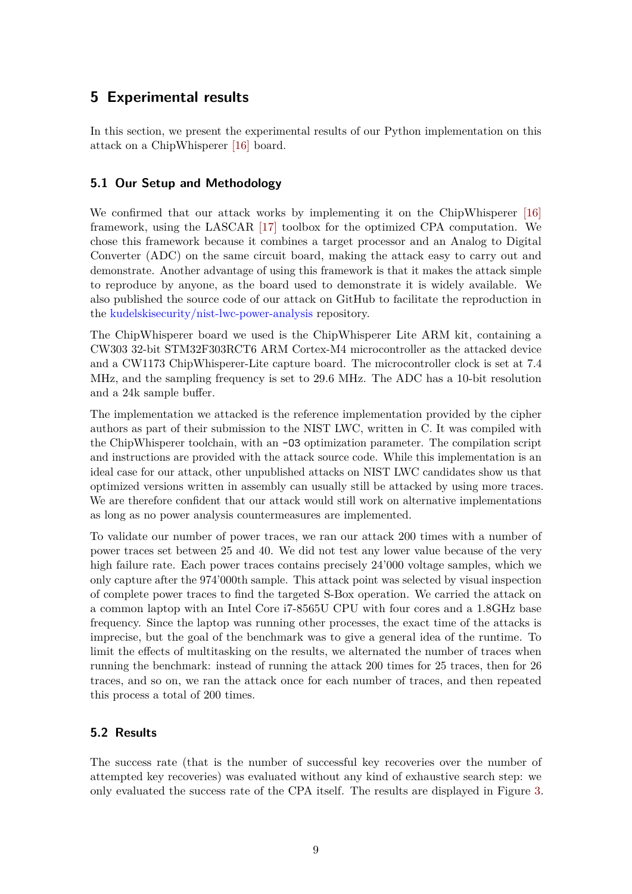# **5 Experimental results**

In this section, we present the experimental results of our Python implementation on this attack on a ChipWhisperer [\[16\]](#page-12-1) board.

### **5.1 Our Setup and Methodology**

We confirmed that our attack works by implementing it on the ChipWhisperer [\[16\]](#page-12-1) framework, using the LASCAR [\[17\]](#page-12-2) toolbox for the optimized CPA computation. We chose this framework because it combines a target processor and an Analog to Digital Converter (ADC) on the same circuit board, making the attack easy to carry out and demonstrate. Another advantage of using this framework is that it makes the attack simple to reproduce by anyone, as the board used to demonstrate it is widely available. We also published the source code of our attack on GitHub to facilitate the reproduction in the [kudelskisecurity/nist-lwc-power-analysis](https://github.com/kudelskisecurity/nist-lwc-power-analysis) repository.

The ChipWhisperer board we used is the ChipWhisperer Lite ARM kit, containing a CW303 32-bit STM32F303RCT6 ARM Cortex-M4 microcontroller as the attacked device and a CW1173 ChipWhisperer-Lite capture board. The microcontroller clock is set at 7.4 MHz, and the sampling frequency is set to 29.6 MHz. The ADC has a 10-bit resolution and a 24k sample buffer.

The implementation we attacked is the reference implementation provided by the cipher authors as part of their submission to the NIST LWC, written in C. It was compiled with the ChipWhisperer toolchain, with an -O3 optimization parameter. The compilation script and instructions are provided with the attack source code. While this implementation is an ideal case for our attack, other unpublished attacks on NIST LWC candidates show us that optimized versions written in assembly can usually still be attacked by using more traces. We are therefore confident that our attack would still work on alternative implementations as long as no power analysis countermeasures are implemented.

To validate our number of power traces, we ran our attack 200 times with a number of power traces set between 25 and 40. We did not test any lower value because of the very high failure rate. Each power traces contains precisely 24'000 voltage samples, which we only capture after the 974'000th sample. This attack point was selected by visual inspection of complete power traces to find the targeted S-Box operation. We carried the attack on a common laptop with an Intel Core i7-8565U CPU with four cores and a 1.8GHz base frequency. Since the laptop was running other processes, the exact time of the attacks is imprecise, but the goal of the benchmark was to give a general idea of the runtime. To limit the effects of multitasking on the results, we alternated the number of traces when running the benchmark: instead of running the attack 200 times for 25 traces, then for 26 traces, and so on, we ran the attack once for each number of traces, and then repeated this process a total of 200 times.

# **5.2 Results**

The success rate (that is the number of successful key recoveries over the number of attempted key recoveries) was evaluated without any kind of exhaustive search step: we only evaluated the success rate of the CPA itself. The results are displayed in Figure [3.](#page-9-0)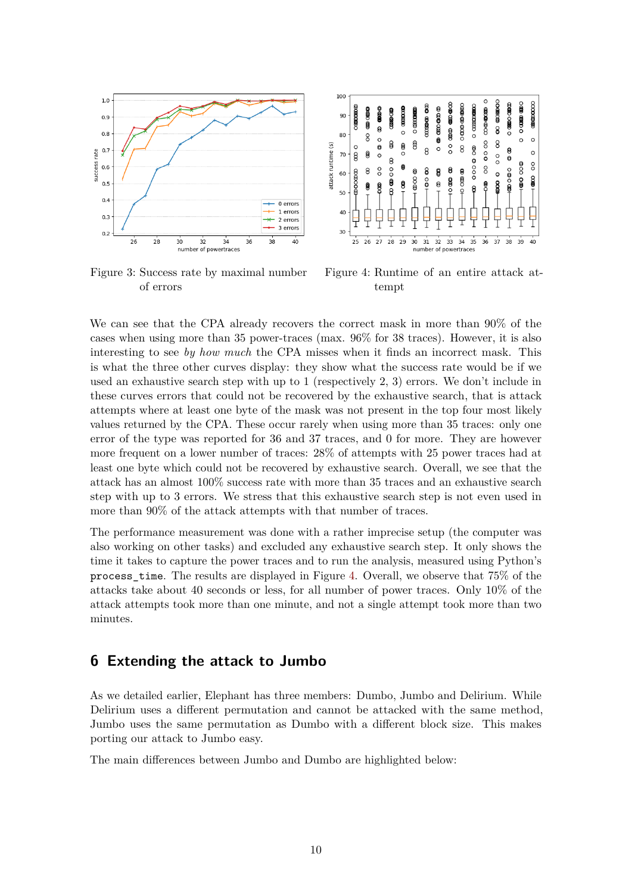<span id="page-9-0"></span>

Figure 3: Success rate by maximal number of errors



Figure 4: Runtime of an entire attack attempt

We can see that the CPA already recovers the correct mask in more than 90% of the cases when using more than 35 power-traces (max. 96% for 38 traces). However, it is also interesting to see *by how much* the CPA misses when it finds an incorrect mask. This is what the three other curves display: they show what the success rate would be if we used an exhaustive search step with up to 1 (respectively 2, 3) errors. We don't include in these curves errors that could not be recovered by the exhaustive search, that is attack attempts where at least one byte of the mask was not present in the top four most likely values returned by the CPA. These occur rarely when using more than 35 traces: only one error of the type was reported for 36 and 37 traces, and 0 for more. They are however more frequent on a lower number of traces: 28% of attempts with 25 power traces had at least one byte which could not be recovered by exhaustive search. Overall, we see that the attack has an almost 100% success rate with more than 35 traces and an exhaustive search step with up to 3 errors. We stress that this exhaustive search step is not even used in more than 90% of the attack attempts with that number of traces.

The performance measurement was done with a rather imprecise setup (the computer was also working on other tasks) and excluded any exhaustive search step. It only shows the time it takes to capture the power traces and to run the analysis, measured using Python's process\_time. The results are displayed in Figure [4.](#page-9-0) Overall, we observe that 75% of the attacks take about 40 seconds or less, for all number of power traces. Only 10% of the attack attempts took more than one minute, and not a single attempt took more than two minutes.

# **6 Extending the attack to Jumbo**

As we detailed earlier, Elephant has three members: Dumbo, Jumbo and Delirium. While Delirium uses a different permutation and cannot be attacked with the same method, Jumbo uses the same permutation as Dumbo with a different block size. This makes porting our attack to Jumbo easy.

The main differences between Jumbo and Dumbo are highlighted below: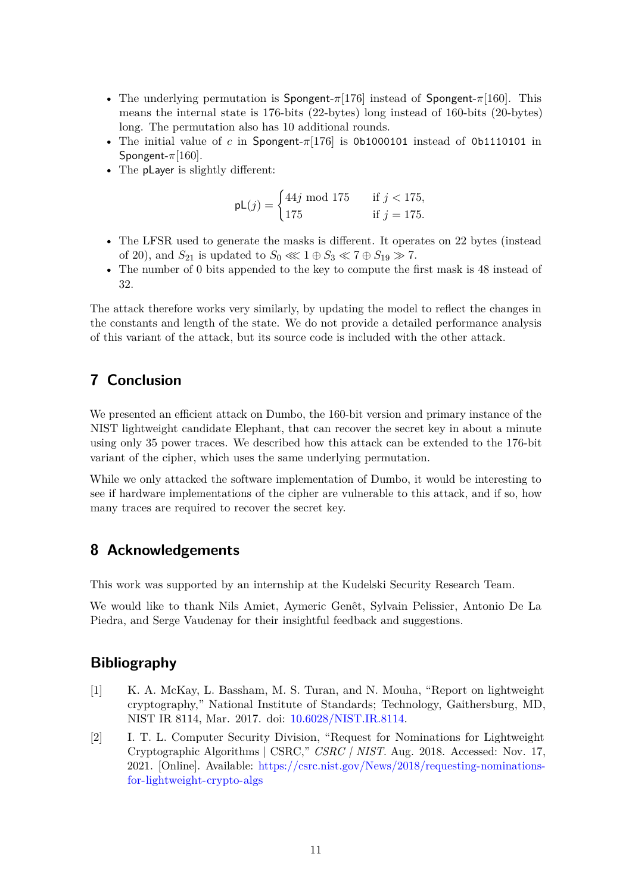- The underlying permutation is Spongent-*π*[176] instead of Spongent-*π*[160]. This means the internal state is 176-bits (22-bytes) long instead of 160-bits (20-bytes) long. The permutation also has 10 additional rounds.
- The initial value of *c* in Spongent-*π*[176] is 0b1000101 instead of 0b1110101 in Spongent-*π*[160].
- The pLayer is slightly different:

$$
pL(j) = \begin{cases} 44j \text{ mod } 175 & \text{if } j < 175, \\ 175 & \text{if } j = 175. \end{cases}
$$

- The LFSR used to generate the masks is different. It operates on 22 bytes (instead of 20), and  $S_{21}$  is updated to  $S_0 \ll 1 \oplus S_3 \ll 7 \oplus S_{19} \gg 7$ .
- The number of 0 bits appended to the key to compute the first mask is 48 instead of 32.

The attack therefore works very similarly, by updating the model to reflect the changes in the constants and length of the state. We do not provide a detailed performance analysis of this variant of the attack, but its source code is included with the other attack.

# **7 Conclusion**

We presented an efficient attack on Dumbo, the 160-bit version and primary instance of the NIST lightweight candidate Elephant, that can recover the secret key in about a minute using only 35 power traces. We described how this attack can be extended to the 176-bit variant of the cipher, which uses the same underlying permutation.

While we only attacked the software implementation of Dumbo, it would be interesting to see if hardware implementations of the cipher are vulnerable to this attack, and if so, how many traces are required to recover the secret key.

# **8 Acknowledgements**

This work was supported by an internship at the Kudelski Security Research Team.

We would like to thank Nils Amiet, Aymeric Genêt, Sylvain Pelissier, Antonio De La Piedra, and Serge Vaudenay for their insightful feedback and suggestions.

### **Bibliography**

- <span id="page-10-0"></span>[1] K. A. McKay, L. Bassham, M. S. Turan, and N. Mouha, "Report on lightweight cryptography," National Institute of Standards; Technology, Gaithersburg, MD, NIST IR 8114, Mar. 2017. doi: [10.6028/NIST.IR.8114.](https://doi.org/10.6028/NIST.IR.8114)
- <span id="page-10-1"></span>[2] I. T. L. Computer Security Division, "Request for Nominations for Lightweight Cryptographic Algorithms | CSRC," *CSRC | NIST*. Aug. 2018. Accessed: Nov. 17, 2021. [Online]. Available: [https://csrc.nist.gov/News/2018/requesting-nominations](https://csrc.nist.gov/News/2018/requesting-nominations-for-lightweight-crypto-algs)[for-lightweight-crypto-algs](https://csrc.nist.gov/News/2018/requesting-nominations-for-lightweight-crypto-algs)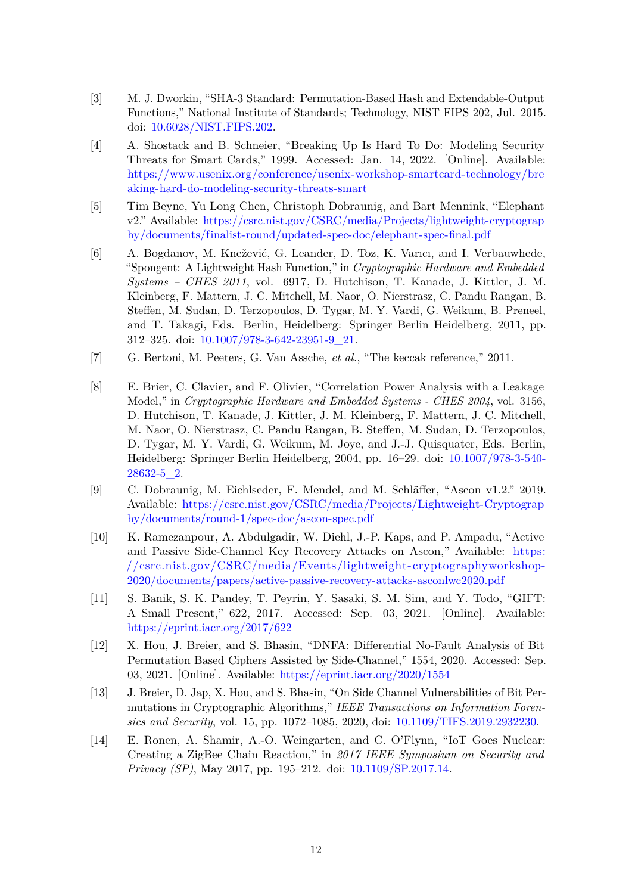- <span id="page-11-0"></span>[3] M. J. Dworkin, "SHA-3 Standard: Permutation-Based Hash and Extendable-Output Functions," National Institute of Standards; Technology, NIST FIPS 202, Jul. 2015. doi: [10.6028/NIST.FIPS.202.](https://doi.org/10.6028/NIST.FIPS.202)
- <span id="page-11-1"></span>[4] A. Shostack and B. Schneier, "Breaking Up Is Hard To Do: Modeling Security Threats for Smart Cards," 1999. Accessed: Jan. 14, 2022. [Online]. Available: [https://www.usenix.org/conference/usenix-workshop-smartcard-technology/bre](https://www.usenix.org/conference/usenix-workshop-smartcard-technology/breaking-hard-do-modeling-security-threats-smart) [aking-hard-do-modeling-security-threats-smart](https://www.usenix.org/conference/usenix-workshop-smartcard-technology/breaking-hard-do-modeling-security-threats-smart)
- <span id="page-11-2"></span>[5] Tim Beyne, Yu Long Chen, Christoph Dobraunig, and Bart Mennink, "Elephant v2." Available: [https://csrc.nist.gov/CSRC/media/Projects/lightweight-cryptograp](https://csrc.nist.gov/CSRC/media/Projects/lightweight-cryptography/documents/finalist-round/updated-spec-doc/elephant-spec-final.pdf) [hy/documents/finalist-round/updated-spec-doc/elephant-spec-final.pdf](https://csrc.nist.gov/CSRC/media/Projects/lightweight-cryptography/documents/finalist-round/updated-spec-doc/elephant-spec-final.pdf)
- <span id="page-11-3"></span>[6] A. Bogdanov, M. Knežević, G. Leander, D. Toz, K. Varıcı, and I. Verbauwhede, "Spongent: A Lightweight Hash Function," in *Cryptographic Hardware and Embedded Systems – CHES 2011*, vol. 6917, D. Hutchison, T. Kanade, J. Kittler, J. M. Kleinberg, F. Mattern, J. C. Mitchell, M. Naor, O. Nierstrasz, C. Pandu Rangan, B. Steffen, M. Sudan, D. Terzopoulos, D. Tygar, M. Y. Vardi, G. Weikum, B. Preneel, and T. Takagi, Eds. Berlin, Heidelberg: Springer Berlin Heidelberg, 2011, pp. 312–325. doi: [10.1007/978-3-642-23951-9\\_21.](https://doi.org/10.1007/978-3-642-23951-9_21)
- <span id="page-11-4"></span>[7] G. Bertoni, M. Peeters, G. Van Assche, *et al.*, "The keccak reference," 2011.
- <span id="page-11-5"></span>[8] E. Brier, C. Clavier, and F. Olivier, "Correlation Power Analysis with a Leakage Model," in *Cryptographic Hardware and Embedded Systems - CHES 2004*, vol. 3156, D. Hutchison, T. Kanade, J. Kittler, J. M. Kleinberg, F. Mattern, J. C. Mitchell, M. Naor, O. Nierstrasz, C. Pandu Rangan, B. Steffen, M. Sudan, D. Terzopoulos, D. Tygar, M. Y. Vardi, G. Weikum, M. Joye, and J.-J. Quisquater, Eds. Berlin, Heidelberg: Springer Berlin Heidelberg, 2004, pp. 16–29. doi: [10.1007/978-3-540-](https://doi.org/10.1007/978-3-540-28632-5_2) [28632-5\\_2.](https://doi.org/10.1007/978-3-540-28632-5_2)
- <span id="page-11-6"></span>[9] C. Dobraunig, M. Eichlseder, F. Mendel, and M. Schläffer, "Ascon v1.2." 2019. Available: [https://csrc.nist.gov/CSRC/media/Projects/Lightweight-Cryptograp](https://csrc.nist.gov/CSRC/media/Projects/Lightweight-Cryptography/documents/round-1/spec-doc/ascon-spec.pdf) [hy/documents/round-1/spec-doc/ascon-spec.pdf](https://csrc.nist.gov/CSRC/media/Projects/Lightweight-Cryptography/documents/round-1/spec-doc/ascon-spec.pdf)
- <span id="page-11-7"></span>[10] K. Ramezanpour, A. Abdulgadir, W. Diehl, J.-P. Kaps, and P. Ampadu, "Active and Passive Side-Channel Key Recovery Attacks on Ascon," Available: [https:](https://csrc.nist.gov/CSRC/media/Events/lightweight-cryptographyworkshop-2020/documents/papers/active-passive-recovery-attacks-asconlwc2020.pdf) [//csrc.nist.gov/CSRC/media/Events/lightweight-cryptographyworkshop-](https://csrc.nist.gov/CSRC/media/Events/lightweight-cryptographyworkshop-2020/documents/papers/active-passive-recovery-attacks-asconlwc2020.pdf)[2020/documents/papers/active-passive-recovery-attacks-asconlwc2020.pdf](https://csrc.nist.gov/CSRC/media/Events/lightweight-cryptographyworkshop-2020/documents/papers/active-passive-recovery-attacks-asconlwc2020.pdf)
- <span id="page-11-8"></span>[11] S. Banik, S. K. Pandey, T. Peyrin, Y. Sasaki, S. M. Sim, and Y. Todo, "GIFT: A Small Present," 622, 2017. Accessed: Sep. 03, 2021. [Online]. Available: <https://eprint.iacr.org/2017/622>
- <span id="page-11-9"></span>[12] X. Hou, J. Breier, and S. Bhasin, "DNFA: Differential No-Fault Analysis of Bit Permutation Based Ciphers Assisted by Side-Channel," 1554, 2020. Accessed: Sep. 03, 2021. [Online]. Available: <https://eprint.iacr.org/2020/1554>
- <span id="page-11-10"></span>[13] J. Breier, D. Jap, X. Hou, and S. Bhasin, "On Side Channel Vulnerabilities of Bit Permutations in Cryptographic Algorithms," *IEEE Transactions on Information Forensics and Security*, vol. 15, pp. 1072–1085, 2020, doi: [10.1109/TIFS.2019.2932230.](https://doi.org/10.1109/TIFS.2019.2932230)
- <span id="page-11-11"></span>[14] E. Ronen, A. Shamir, A.-O. Weingarten, and C. O'Flynn, "IoT Goes Nuclear: Creating a ZigBee Chain Reaction," in *2017 IEEE Symposium on Security and Privacy (SP)*, May 2017, pp. 195–212. doi: [10.1109/SP.2017.14.](https://doi.org/10.1109/SP.2017.14)